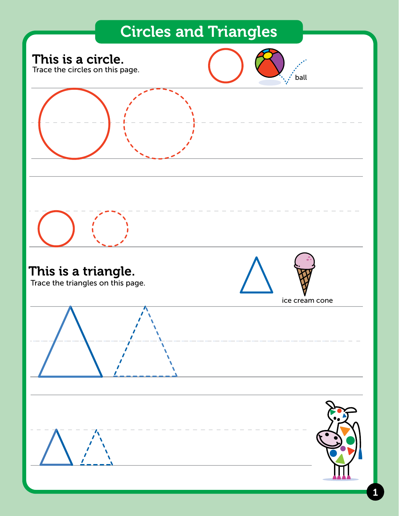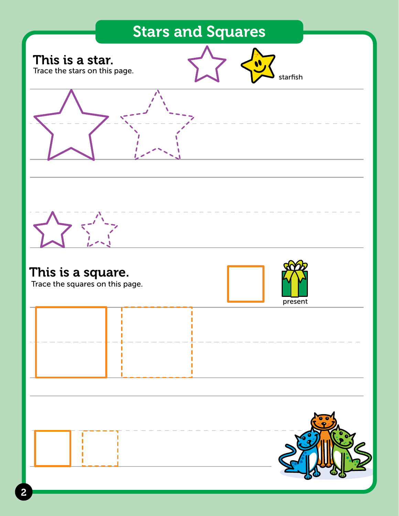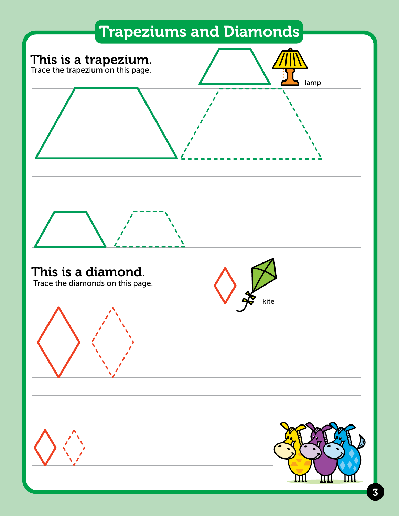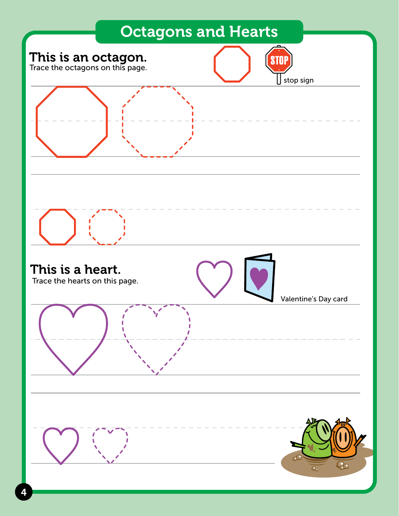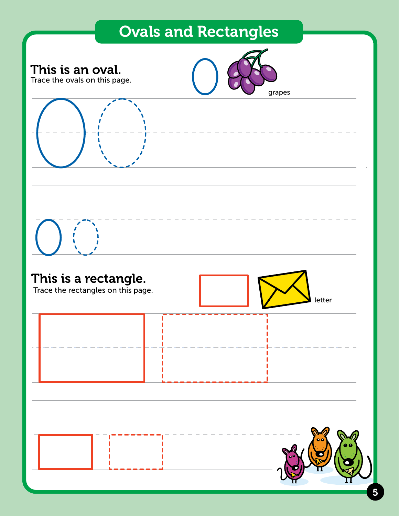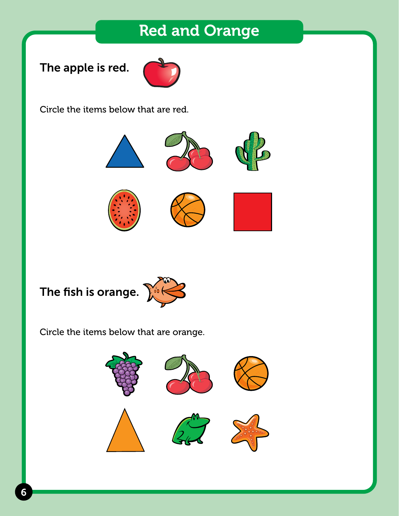## Red and Orange

The apple is red.



Circle the items below that are red.



# The fish is orange.

Circle the items below that are orange.

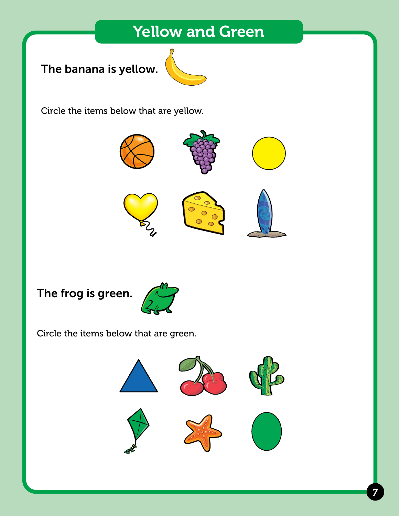## Yellow and Green

## The banana is yellow.



Circle the items below that are yellow.



#### The frog is green.



Circle the items below that are green.

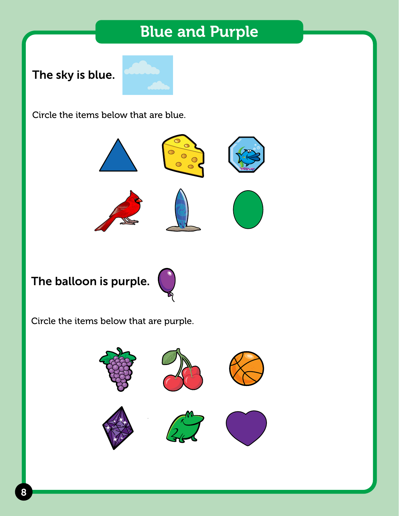## Blue and Purple

#### The sky is blue.



Circle the items below that are blue.



## The balloon is purple.



Circle the items below that are purple.

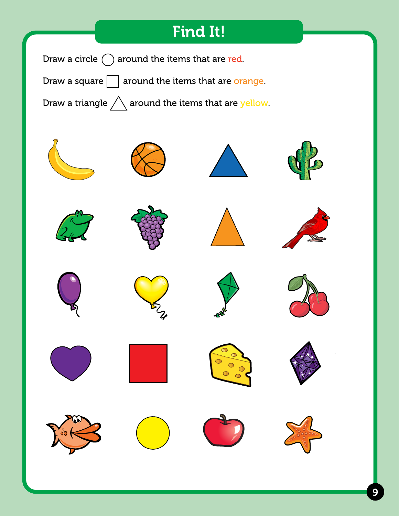## Find It!

Draw a circle  $\bigcap$  around the items that are red.

Draw a square  $\Box$  around the items that are orange.

Draw a triangle  $\triangle$  around the items that are yellow.

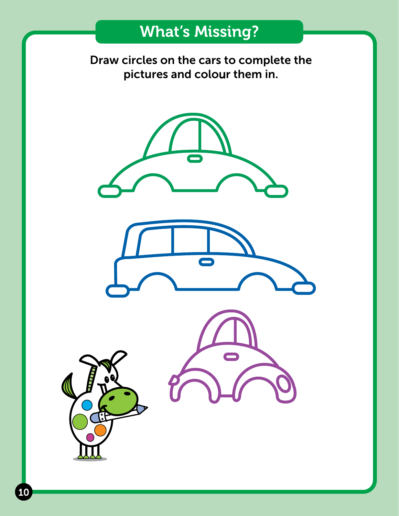## What's Missing?

Draw circles on the cars to complete the pictures and colour them in.

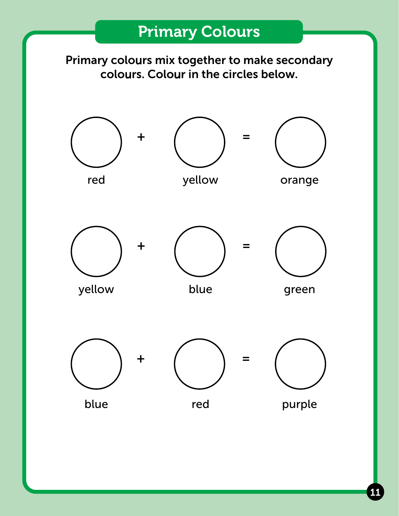Primary colours mix together to make secondary colours. Colour in the circles below.



11